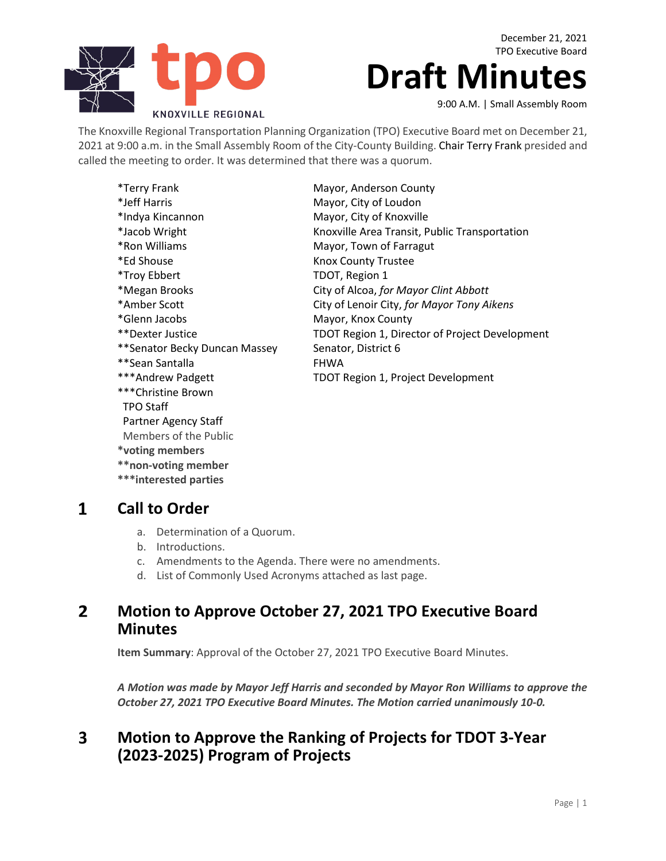

December 21, 2021 TPO Executive Board

# **Draft Minutes**

9:00 A.M. | Small Assembly Room

The Knoxville Regional Transportation Planning Organization (TPO) Executive Board met on December 21, 2021 at 9:00 a.m. in the Small Assembly Room of the City-County Building. Chair Terry Frank presided and called the meeting to order. It was determined that there was a quorum.

| *Terry Frank                  | Mayor, Anderson County                         |
|-------------------------------|------------------------------------------------|
| *Jeff Harris                  | Mayor, City of Loudon                          |
| *Indya Kincannon              | Mayor, City of Knoxville                       |
| *Jacob Wright                 | Knoxville Area Transit, Public Transportation  |
| *Ron Williams                 | Mayor, Town of Farragut                        |
| *Ed Shouse                    | Knox County Trustee                            |
| *Troy Ebbert                  | TDOT, Region 1                                 |
| *Megan Brooks                 | City of Alcoa, for Mayor Clint Abbott          |
| *Amber Scott                  | City of Lenoir City, for Mayor Tony Aikens     |
| *Glenn Jacobs                 | Mayor, Knox County                             |
| **Dexter Justice              | TDOT Region 1, Director of Project Development |
| **Senator Becky Duncan Massey | Senator, District 6                            |
| **Sean Santalla               | <b>FHWA</b>                                    |
| ***Andrew Padgett             | <b>TDOT Region 1, Project Development</b>      |
| ***Christine Brown            |                                                |
| <b>TPO Staff</b>              |                                                |
| Partner Agency Staff          |                                                |
| Members of the Public         |                                                |

 $\mathbf{1}$ **Call to Order**

**\*voting members \*\*non-voting member \*\*\*interested parties**

- a. Determination of a Quorum.
- b. Introductions.
- c. Amendments to the Agenda. There were no amendments.
- d. List of Commonly Used Acronyms attached as last page.

### **Motion to Approve October 27, 2021 TPO Executive Board**   $2<sup>1</sup>$ **Minutes**

**Item Summary**: Approval of the October 27, 2021 TPO Executive Board Minutes.

*A Motion was made by Mayor Jeff Harris and seconded by Mayor Ron Williams to approve the October 27, 2021 TPO Executive Board Minutes. The Motion carried unanimously 10-0.*

### **Motion to Approve the Ranking of Projects for TDOT 3-Year**   $\overline{\mathbf{3}}$ **(2023-2025) Program of Projects**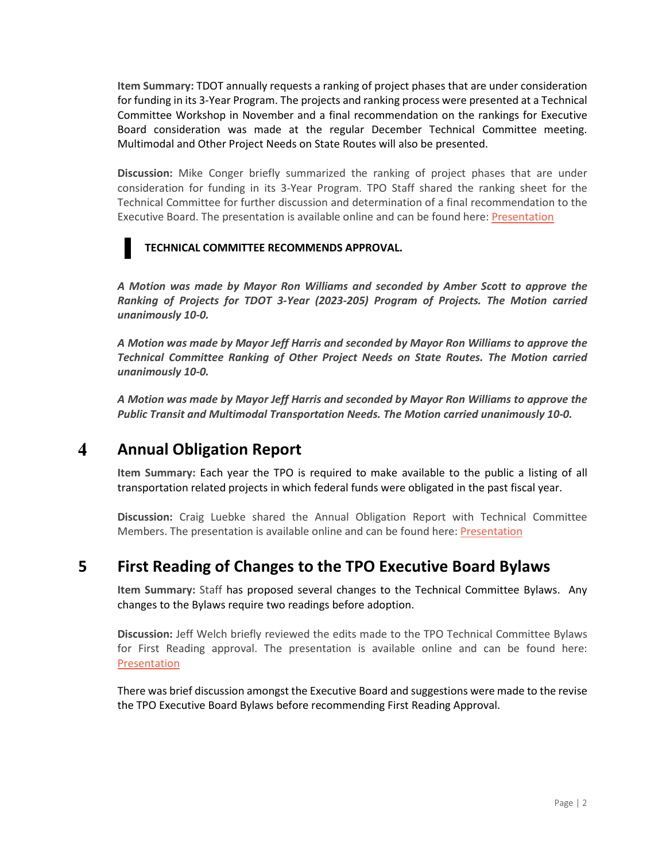**Item Summary:** TDOT annually requests a ranking of project phases that are under consideration for funding in its 3-Year Program. The projects and ranking process were presented at a Technical Committee Workshop in November and a final recommendation on the rankings for Executive Board consideration was made at the regular December Technical Committee meeting. Multimodal and Other Project Needs on State Routes will also be presented.

**Discussion:** Mike Conger briefly summarized the ranking of project phases that are under consideration for funding in its 3-Year Program. TPO Staff shared the ranking sheet for the Technical Committee for further discussion and determination of a final recommendation to the Executive Board. The presentation is available online and can be found here: [Presentation](https://knoxtpo.org/home/meetings/exec/agendas/2021/december/presentations/3.pdf)

### **TECHNICAL COMMITTEE RECOMMENDS APPROVAL.**

*A Motion was made by Mayor Ron Williams and seconded by Amber Scott to approve the Ranking of Projects for TDOT 3-Year (2023-205) Program of Projects. The Motion carried unanimously 10-0.*

*A Motion was made by Mayor Jeff Harris and seconded by Mayor Ron Williams to approve the Technical Committee Ranking of Other Project Needs on State Routes. The Motion carried unanimously 10-0.*

*A Motion was made by Mayor Jeff Harris and seconded by Mayor Ron Williams to approve the Public Transit and Multimodal Transportation Needs. The Motion carried unanimously 10-0.*

#### $\overline{\mathbf{4}}$ **Annual Obligation Report**

**Item Summary:** Each year the TPO is required to make available to the public a listing of all transportation related projects in which federal funds were obligated in the past fiscal year.

**Discussion:** Craig Luebke shared the Annual Obligation Report with Technical Committee Members. The presentation is available online and can be found here: [Presentation](https://knoxtpo.org/home/meetings/exec/agendas/2021/december/presentations/4.pdf)

### **5 First Reading of Changes to the TPO Executive Board Bylaws**

**Item Summary:** Staff has proposed several changes to the Technical Committee Bylaws. Any changes to the Bylaws require two readings before adoption.

**Discussion:** Jeff Welch briefly reviewed the edits made to the TPO Technical Committee Bylaws for First Reading approval. The presentation is available online and can be found here: [Presentation](https://knoxtpo.org/home/meetings/exec/agendas/2021/december/presentations/5.pdf)

There was brief discussion amongst the Executive Board and suggestions were made to the revise the TPO Executive Board Bylaws before recommending First Reading Approval.